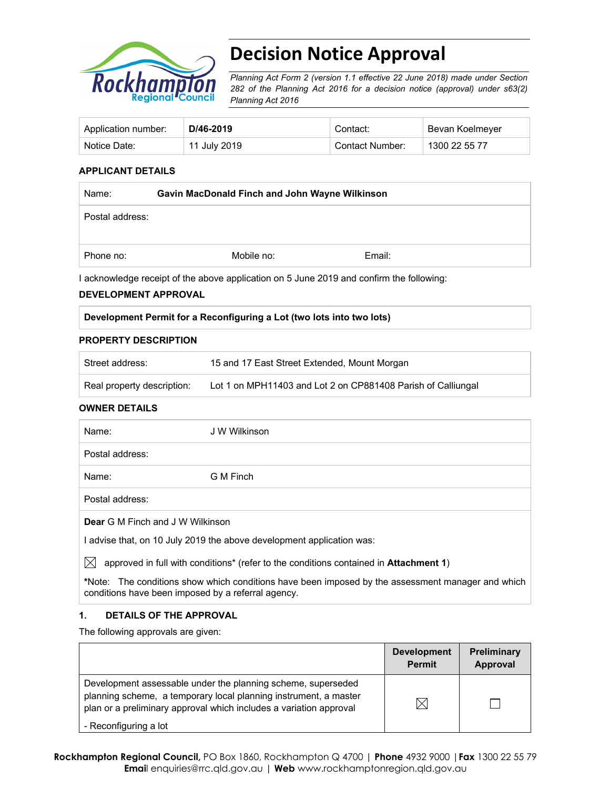

# **Decision Notice Approval**

*Planning Act Form 2 (version 1.1 effective 22 June 2018) made under Section 282 of the Planning Act 2016 for a decision notice (approval) under s63(2) Planning Act 2016*

| Application number: | D/46-2019    | Contact:        | Bevan Koelmeyer |
|---------------------|--------------|-----------------|-----------------|
| Notice Date:        | 11 July 2019 | Contact Number: | 1300 22 55 77   |

#### **APPLICANT DETAILS**

| Name:           | Gavin MacDonald Finch and John Wayne Wilkinson |        |  |
|-----------------|------------------------------------------------|--------|--|
| Postal address: |                                                |        |  |
|                 |                                                |        |  |
| Phone no:       | Mobile no:                                     | Email: |  |

I acknowledge receipt of the above application on 5 June 2019 and confirm the following:

#### **DEVELOPMENT APPROVAL**

| Development Permit for a Reconfiguring a Lot (two lots into two lots) |  |
|-----------------------------------------------------------------------|--|
|                                                                       |  |

#### **PROPERTY DESCRIPTION**

| Street address:            | 15 and 17 East Street Extended, Mount Morgan                 |
|----------------------------|--------------------------------------------------------------|
| Real property description: | Lot 1 on MPH11403 and Lot 2 on CP881408 Parish of Calliungal |

#### **OWNER DETAILS**

| Name:                                                                 | J W Wilkinson |  |  |
|-----------------------------------------------------------------------|---------------|--|--|
| Postal address:                                                       |               |  |  |
| Name:                                                                 | G M Finch     |  |  |
| Postal address:                                                       |               |  |  |
| <b>Dear G M Finch and J W Wilkinson</b>                               |               |  |  |
| I advise that, on 10 July 2019 the above development application was: |               |  |  |

 $\boxtimes$  approved in full with conditions<sup>\*</sup> (refer to the conditions contained in **Attachment 1**)

**\***Note:The conditions show which conditions have been imposed by the assessment manager and which conditions have been imposed by a referral agency.

#### **1. DETAILS OF THE APPROVAL**

The following approvals are given:

|                                                                                                                                                                                                        | <b>Development</b><br><b>Permit</b> | <b>Preliminary</b><br>Approval |
|--------------------------------------------------------------------------------------------------------------------------------------------------------------------------------------------------------|-------------------------------------|--------------------------------|
| Development assessable under the planning scheme, superseded<br>planning scheme, a temporary local planning instrument, a master<br>plan or a preliminary approval which includes a variation approval |                                     |                                |
| - Reconfiguring a lot                                                                                                                                                                                  |                                     |                                |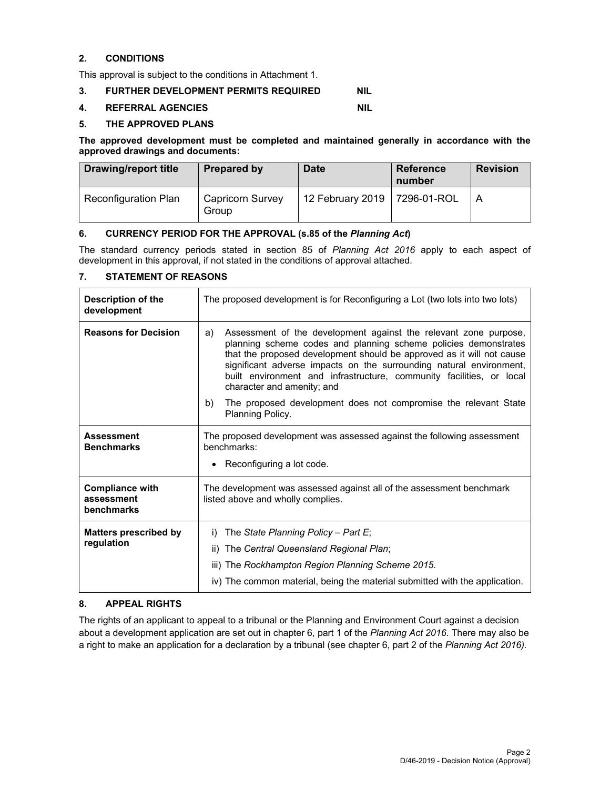#### **2. CONDITIONS**

This approval is subject to the conditions in Attachment 1.

#### **3. FURTHER DEVELOPMENT PERMITS REQUIRED NIL**

#### **4. REFERRAL AGENCIES NIL**

#### **5. THE APPROVED PLANS**

**The approved development must be completed and maintained generally in accordance with the approved drawings and documents:** 

| <b>Drawing/report title</b> | <b>Prepared by</b>               | <b>Date</b>                    | <b>Reference</b><br>number | <b>Revision</b> |
|-----------------------------|----------------------------------|--------------------------------|----------------------------|-----------------|
| <b>Reconfiguration Plan</b> | <b>Capricorn Survey</b><br>Group | 12 February 2019   7296-01-ROL |                            | A               |

#### **6. CURRENCY PERIOD FOR THE APPROVAL (s.85 of the** *Planning Act***)**

The standard currency periods stated in section 85 of *Planning Act 2016* apply to each aspect of development in this approval, if not stated in the conditions of approval attached.

#### **7. STATEMENT OF REASONS**

| <b>Description of the</b><br>development           | The proposed development is for Reconfiguring a Lot (two lots into two lots)                                                                                                                                                                                                                                                                                                                                                                                                                 |  |  |
|----------------------------------------------------|----------------------------------------------------------------------------------------------------------------------------------------------------------------------------------------------------------------------------------------------------------------------------------------------------------------------------------------------------------------------------------------------------------------------------------------------------------------------------------------------|--|--|
| <b>Reasons for Decision</b>                        | Assessment of the development against the relevant zone purpose,<br>a)<br>planning scheme codes and planning scheme policies demonstrates<br>that the proposed development should be approved as it will not cause<br>significant adverse impacts on the surrounding natural environment,<br>built environment and infrastructure, community facilities, or local<br>character and amenity; and<br>The proposed development does not compromise the relevant State<br>b)<br>Planning Policy. |  |  |
| <b>Assessment</b><br><b>Benchmarks</b>             | The proposed development was assessed against the following assessment<br>benchmarks:<br>Reconfiguring a lot code.                                                                                                                                                                                                                                                                                                                                                                           |  |  |
| <b>Compliance with</b><br>assessment<br>benchmarks | The development was assessed against all of the assessment benchmark<br>listed above and wholly complies.                                                                                                                                                                                                                                                                                                                                                                                    |  |  |
| <b>Matters prescribed by</b><br>regulation         | The State Planning Policy - Part E;<br>i)<br>The Central Queensland Regional Plan;<br>ii)<br>iii) The Rockhampton Region Planning Scheme 2015.<br>iv) The common material, being the material submitted with the application.                                                                                                                                                                                                                                                                |  |  |

#### **8. APPEAL RIGHTS**

The rights of an applicant to appeal to a tribunal or the Planning and Environment Court against a decision about a development application are set out in chapter 6, part 1 of the *Planning Act 2016*. There may also be a right to make an application for a declaration by a tribunal (see chapter 6, part 2 of the *Planning Act 2016).*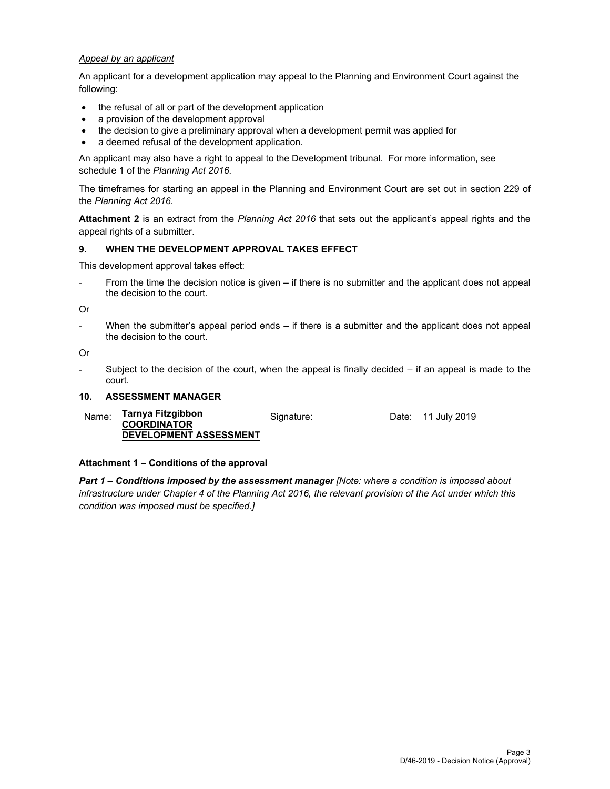#### *Appeal by an applicant*

An applicant for a development application may appeal to the Planning and Environment Court against the following:

- the refusal of all or part of the development application
- a provision of the development approval
- the decision to give a preliminary approval when a development permit was applied for
- a deemed refusal of the development application.

An applicant may also have a right to appeal to the Development tribunal. For more information, see schedule 1 of the *Planning Act 2016*.

The timeframes for starting an appeal in the Planning and Environment Court are set out in section 229 of the *Planning Act 2016*.

**Attachment 2** is an extract from the *Planning Act 2016* that sets out the applicant's appeal rights and the appeal rights of a submitter.

#### **9. WHEN THE DEVELOPMENT APPROVAL TAKES EFFECT**

This development approval takes effect:

From the time the decision notice is given – if there is no submitter and the applicant does not appeal the decision to the court.

Or

When the submitter's appeal period ends – if there is a submitter and the applicant does not appeal the decision to the court.

Or

Subject to the decision of the court, when the appeal is finally decided  $-$  if an appeal is made to the court.

#### **10. ASSESSMENT MANAGER**

| Name: | Tarnya Fitzgibbon<br><b>COORDINATOR</b><br><b>DEVELOPMENT ASSESSMENT</b> | Signature: | Date: 11 July 2019 |
|-------|--------------------------------------------------------------------------|------------|--------------------|
|       |                                                                          |            |                    |

#### **Attachment 1 – Conditions of the approval**

*Part 1* **–** *Conditions imposed by the assessment manager [Note: where a condition is imposed about infrastructure under Chapter 4 of the Planning Act 2016, the relevant provision of the Act under which this condition was imposed must be specified.]*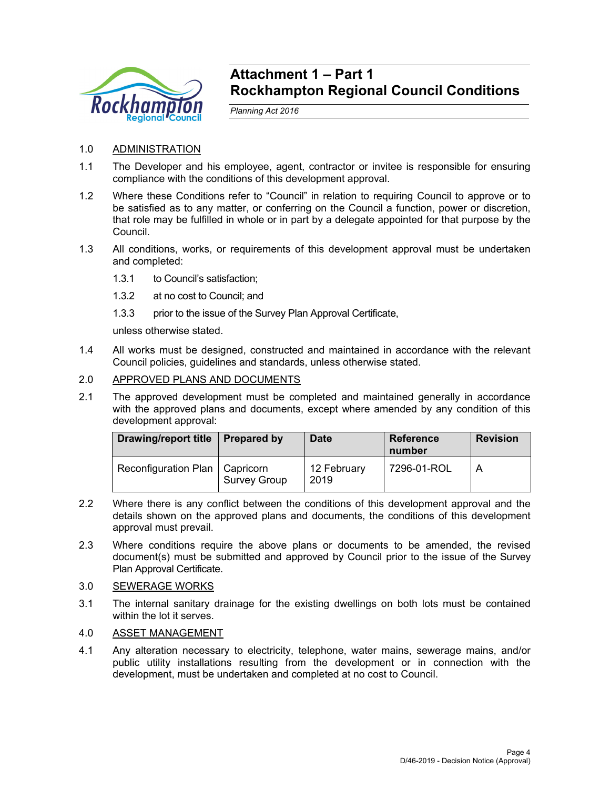

# **Attachment 1 – Part 1 Rockhampton Regional Council Conditions**

*Planning Act 2016* 

- 1.0 ADMINISTRATION
- 1.1 The Developer and his employee, agent, contractor or invitee is responsible for ensuring compliance with the conditions of this development approval.
- 1.2 Where these Conditions refer to "Council" in relation to requiring Council to approve or to be satisfied as to any matter, or conferring on the Council a function, power or discretion, that role may be fulfilled in whole or in part by a delegate appointed for that purpose by the Council.
- 1.3 All conditions, works, or requirements of this development approval must be undertaken and completed:
	- 1.3.1 to Council's satisfaction;
	- 1.3.2 at no cost to Council; and
	- 1.3.3 prior to the issue of the Survey Plan Approval Certificate,

unless otherwise stated.

- 1.4 All works must be designed, constructed and maintained in accordance with the relevant Council policies, guidelines and standards, unless otherwise stated.
- 2.0 APPROVED PLANS AND DOCUMENTS
- 2.1 The approved development must be completed and maintained generally in accordance with the approved plans and documents, except where amended by any condition of this development approval:

| <b>Drawing/report title</b>      | <b>Prepared by</b>  | <b>Date</b>         | <b>Reference</b><br>number | <b>Revision</b> |
|----------------------------------|---------------------|---------------------|----------------------------|-----------------|
| Reconfiguration Plan   Capricorn | <b>Survey Group</b> | 12 February<br>2019 | 7296-01-ROL                |                 |

- 2.2 Where there is any conflict between the conditions of this development approval and the details shown on the approved plans and documents, the conditions of this development approval must prevail.
- 2.3 Where conditions require the above plans or documents to be amended, the revised document(s) must be submitted and approved by Council prior to the issue of the Survey Plan Approval Certificate.
- 3.0 SEWERAGE WORKS
- 3.1 The internal sanitary drainage for the existing dwellings on both lots must be contained within the lot it serves.
- 4.0 ASSET MANAGEMENT
- 4.1 Any alteration necessary to electricity, telephone, water mains, sewerage mains, and/or public utility installations resulting from the development or in connection with the development, must be undertaken and completed at no cost to Council.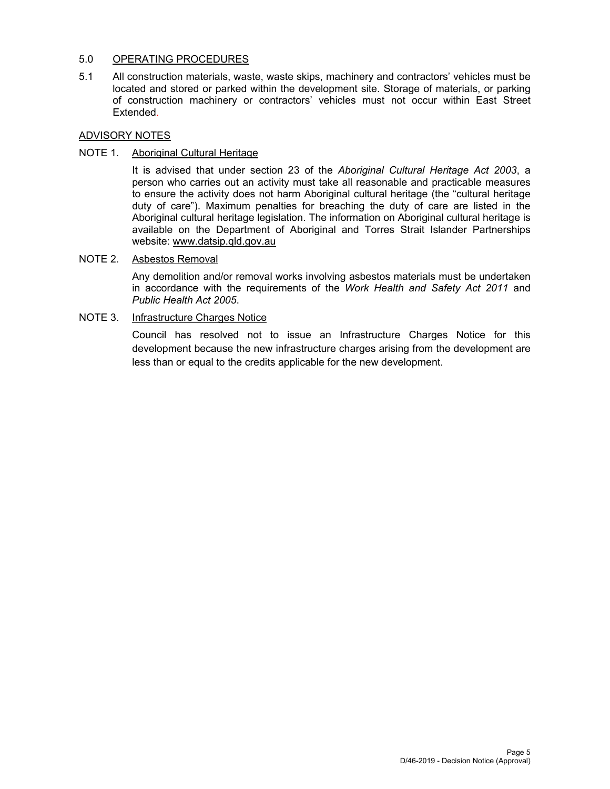## 5.0 OPERATING PROCEDURES

5.1 All construction materials, waste, waste skips, machinery and contractors' vehicles must be located and stored or parked within the development site. Storage of materials, or parking of construction machinery or contractors' vehicles must not occur within East Street Extended.

# ADVISORY NOTES

# NOTE 1. Aboriginal Cultural Heritage

It is advised that under section 23 of the *Aboriginal Cultural Heritage Act 2003*, a person who carries out an activity must take all reasonable and practicable measures to ensure the activity does not harm Aboriginal cultural heritage (the "cultural heritage duty of care"). Maximum penalties for breaching the duty of care are listed in the Aboriginal cultural heritage legislation. The information on Aboriginal cultural heritage is available on the Department of Aboriginal and Torres Strait Islander Partnerships website: www.datsip.qld.gov.au

# NOTE 2. Asbestos Removal

Any demolition and/or removal works involving asbestos materials must be undertaken in accordance with the requirements of the *Work Health and Safety Act 2011* and *Public Health Act 2005*.

# NOTE 3. Infrastructure Charges Notice

Council has resolved not to issue an Infrastructure Charges Notice for this development because the new infrastructure charges arising from the development are less than or equal to the credits applicable for the new development.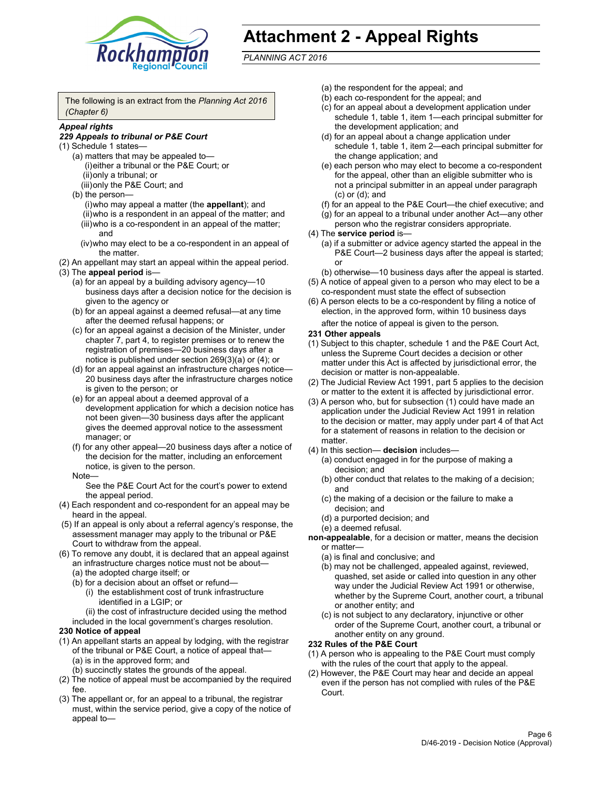

# **Attachment 2 - Appeal Rights**

*PLANNING ACT 2016*

The following is an extract from the *Planning Act 2016 (Chapter 6)*

### *Appeal rights*

#### *229 Appeals to tribunal or P&E Court*

- (1) Schedule 1 states—
	- (a) matters that may be appealed to— (i) either a tribunal or the P&E Court; or (ii) only a tribunal; or (iii) only the P&E Court; and
	- (b) the person—
		- (i) who may appeal a matter (the **appellant**); and (ii) who is a respondent in an appeal of the matter; and (iii) who is a co-respondent in an appeal of the matter; and
		- (iv) who may elect to be a co-respondent in an appeal of the matter.
- (2) An appellant may start an appeal within the appeal period.
- (3) The **appeal period** is—
	- (a) for an appeal by a building advisory agency—10 business days after a decision notice for the decision is given to the agency or
	- (b) for an appeal against a deemed refusal—at any time after the deemed refusal happens; or
	- (c) for an appeal against a decision of the Minister, under chapter 7, part 4, to register premises or to renew the registration of premises—20 business days after a notice is published under section 269(3)(a) or (4); or
	- (d) for an appeal against an infrastructure charges notice— 20 business days after the infrastructure charges notice is given to the person; or
	- (e) for an appeal about a deemed approval of a development application for which a decision notice has not been given—30 business days after the applicant gives the deemed approval notice to the assessment manager; or
	- (f) for any other appeal—20 business days after a notice of the decision for the matter, including an enforcement notice, is given to the person.

#### Note—

See the P&E Court Act for the court's power to extend the appeal period.

- (4) Each respondent and co-respondent for an appeal may be heard in the appeal.
- (5) If an appeal is only about a referral agency's response, the assessment manager may apply to the tribunal or P&E Court to withdraw from the appeal.
- (6) To remove any doubt, it is declared that an appeal against an infrastructure charges notice must not be about— (a) the adopted charge itself; or
	- (b) for a decision about an offset or refund—
		- (i) the establishment cost of trunk infrastructure identified in a LGIP; or
		- (ii) the cost of infrastructure decided using the method
	- included in the local government's charges resolution.
- **230 Notice of appeal**
- (1) An appellant starts an appeal by lodging, with the registrar of the tribunal or P&E Court, a notice of appeal that— (a) is in the approved form; and
	- (b) succinctly states the grounds of the appeal.
- (2) The notice of appeal must be accompanied by the required fee.
- (3) The appellant or, for an appeal to a tribunal, the registrar must, within the service period, give a copy of the notice of appeal to—
- (a) the respondent for the appeal; and
- (b) each co-respondent for the appeal; and
- (c) for an appeal about a development application under schedule 1, table 1, item 1—each principal submitter for the development application; and
- (d) for an appeal about a change application under schedule 1, table 1, item 2—each principal submitter for the change application; and
- (e) each person who may elect to become a co-respondent for the appeal, other than an eligible submitter who is not a principal submitter in an appeal under paragraph (c) or (d); and
- (f) for an appeal to the P&E Court—the chief executive; and
- (g) for an appeal to a tribunal under another Act—any other person who the registrar considers appropriate.
- (4) The **service period** is—
	- (a) if a submitter or advice agency started the appeal in the P&E Court-2 business days after the appeal is started; or
	- (b) otherwise—10 business days after the appeal is started.
- (5) A notice of appeal given to a person who may elect to be a co-respondent must state the effect of subsection
- (6) A person elects to be a co-respondent by filing a notice of election, in the approved form, within 10 business days
	- after the notice of appeal is given to the person*.*
- **231 Other appeals**
- (1) Subject to this chapter, schedule 1 and the P&E Court Act, unless the Supreme Court decides a decision or other matter under this Act is affected by jurisdictional error, the decision or matter is non-appealable.
- (2) The Judicial Review Act 1991, part 5 applies to the decision or matter to the extent it is affected by jurisdictional error.
- (3) A person who, but for subsection (1) could have made an application under the Judicial Review Act 1991 in relation to the decision or matter, may apply under part 4 of that Act for a statement of reasons in relation to the decision or matter.
- (4) In this section— **decision** includes—
	- (a) conduct engaged in for the purpose of making a decision; and
	- (b) other conduct that relates to the making of a decision; and
	- (c) the making of a decision or the failure to make a decision; and
	- (d) a purported decision; and
	- (e) a deemed refusal.

**non-appealable**, for a decision or matter, means the decision or matter—

- (a) is final and conclusive; and
- (b) may not be challenged, appealed against, reviewed, quashed, set aside or called into question in any other way under the Judicial Review Act 1991 or otherwise, whether by the Supreme Court, another court, a tribunal or another entity; and
- (c) is not subject to any declaratory, injunctive or other order of the Supreme Court, another court, a tribunal or another entity on any ground.

#### **232 Rules of the P&E Court**

- (1) A person who is appealing to the P&E Court must comply with the rules of the court that apply to the appeal.
- (2) However, the P&E Court may hear and decide an appeal even if the person has not complied with rules of the P&E Court.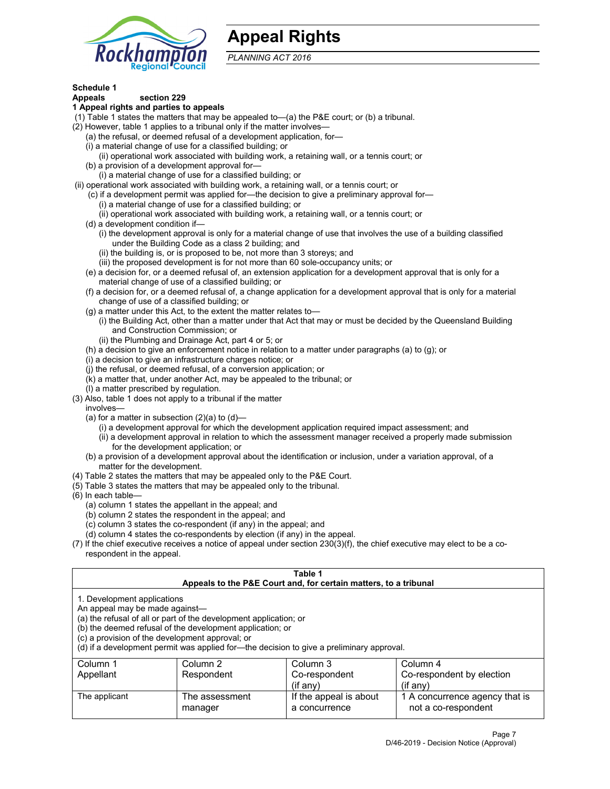

# **Appeal Rights**

*PLANNING ACT 2016*

# **Schedule 1**

# **Appeals section 229**

#### **1 Appeal rights and parties to appeals**

- (1) Table 1 states the matters that may be appealed to—(a) the P&E court; or (b) a tribunal.
- (2) However, table 1 applies to a tribunal only if the matter involves—
	- (a) the refusal, or deemed refusal of a development application, for—
	- (i) a material change of use for a classified building; or
	- (ii) operational work associated with building work, a retaining wall, or a tennis court; or
	- (b) a provision of a development approval for—
	- (i) a material change of use for a classified building; or
- (ii) operational work associated with building work, a retaining wall, or a tennis court; or
	- (c) if a development permit was applied for—the decision to give a preliminary approval for—
		- (i) a material change of use for a classified building; or
	- (ii) operational work associated with building work, a retaining wall, or a tennis court; or
	- (d) a development condition if—
		- (i) the development approval is only for a material change of use that involves the use of a building classified under the Building Code as a class 2 building; and
		- (ii) the building is, or is proposed to be, not more than 3 storeys; and
		- (iii) the proposed development is for not more than 60 sole-occupancy units; or
	- (e) a decision for, or a deemed refusal of, an extension application for a development approval that is only for a material change of use of a classified building; or
	- (f) a decision for, or a deemed refusal of, a change application for a development approval that is only for a material change of use of a classified building; or
	- (g) a matter under this Act, to the extent the matter relates to—
		- (i) the Building Act, other than a matter under that Act that may or must be decided by the Queensland Building and Construction Commission; or
		- (ii) the Plumbing and Drainage Act, part 4 or 5; or
	- (h) a decision to give an enforcement notice in relation to a matter under paragraphs (a) to (g); or
	- (i) a decision to give an infrastructure charges notice; or
	- (j) the refusal, or deemed refusal, of a conversion application; or
	- (k) a matter that, under another Act, may be appealed to the tribunal; or
	- (l) a matter prescribed by regulation.
- (3) Also, table 1 does not apply to a tribunal if the matter
	- involves—
		- (a) for a matter in subsection  $(2)(a)$  to  $(d)$ 
			- (i) a development approval for which the development application required impact assessment; and
			- (ii) a development approval in relation to which the assessment manager received a properly made submission for the development application; or
	- (b) a provision of a development approval about the identification or inclusion, under a variation approval, of a matter for the development.
- (4) Table 2 states the matters that may be appealed only to the P&E Court.
- (5) Table 3 states the matters that may be appealed only to the tribunal.
- (6) In each table—
	- (a) column 1 states the appellant in the appeal; and
	- (b) column 2 states the respondent in the appeal; and
	- (c) column 3 states the co-respondent (if any) in the appeal; and
	- (d) column 4 states the co-respondents by election (if any) in the appeal.
- (7) If the chief executive receives a notice of appeal under section 230(3)(f), the chief executive may elect to be a corespondent in the appeal.

| Table 1<br>Appeals to the P&E Court and, for certain matters, to a tribunal                                      |                                                                                                                                |                                                                                          |                                                       |  |
|------------------------------------------------------------------------------------------------------------------|--------------------------------------------------------------------------------------------------------------------------------|------------------------------------------------------------------------------------------|-------------------------------------------------------|--|
| 1. Development applications<br>An appeal may be made against-<br>(c) a provision of the development approval; or | (a) the refusal of all or part of the development application; or<br>(b) the deemed refusal of the development application; or | (d) if a development permit was applied for—the decision to give a preliminary approval. |                                                       |  |
| Column 1                                                                                                         | Column 2                                                                                                                       | Column 3                                                                                 | Column 4                                              |  |
| Appellant                                                                                                        | Respondent                                                                                                                     | Co-respondent<br>$(f \text{ any})$                                                       | Co-respondent by election<br>$(if$ any)               |  |
| The applicant                                                                                                    | The assessment<br>manager                                                                                                      | If the appeal is about<br>a concurrence                                                  | 1 A concurrence agency that is<br>not a co-respondent |  |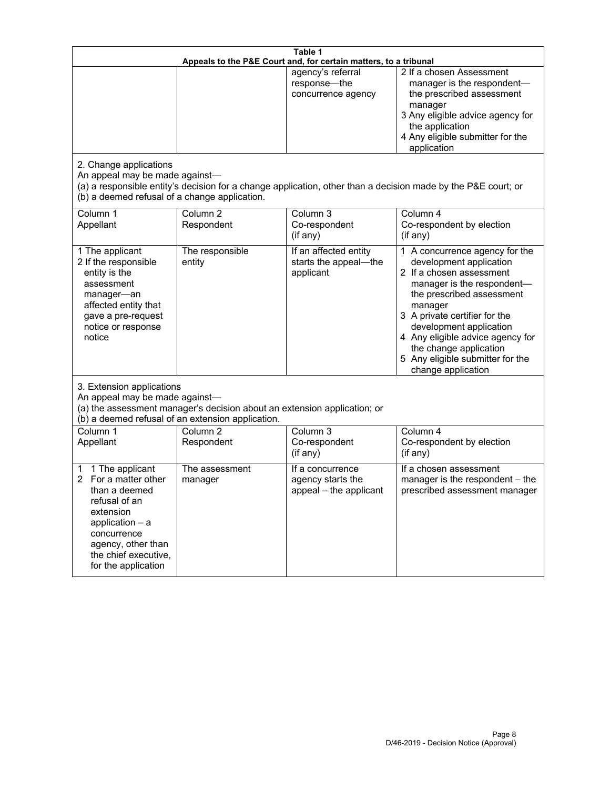| Table 1<br>Appeals to the P&E Court and, for certain matters, to a tribunal                                                                                                                        |                                                                                                                               |                                                                 |                                                                                                                                                                                                                                                                                                                                                 |  |
|----------------------------------------------------------------------------------------------------------------------------------------------------------------------------------------------------|-------------------------------------------------------------------------------------------------------------------------------|-----------------------------------------------------------------|-------------------------------------------------------------------------------------------------------------------------------------------------------------------------------------------------------------------------------------------------------------------------------------------------------------------------------------------------|--|
| 2. Change applications<br>An appeal may be made against-                                                                                                                                           |                                                                                                                               | agency's referral<br>response-the<br>concurrence agency         | 2 If a chosen Assessment<br>manager is the respondent-<br>the prescribed assessment<br>manager<br>3 Any eligible advice agency for<br>the application<br>4 Any eligible submitter for the<br>application<br>(a) a responsible entity's decision for a change application, other than a decision made by the P&E court; or                       |  |
| (b) a deemed refusal of a change application.<br>Column 1<br>Appellant                                                                                                                             | Column $\overline{2}$<br>Respondent                                                                                           | Column 3<br>Co-respondent<br>(if any)                           | Column 4<br>Co-respondent by election<br>(if any)                                                                                                                                                                                                                                                                                               |  |
| 1 The applicant<br>2 If the responsible<br>entity is the<br>assessment<br>manager-an<br>affected entity that<br>gave a pre-request<br>notice or response<br>notice                                 | The responsible<br>entity                                                                                                     | If an affected entity<br>starts the appeal-the<br>applicant     | 1 A concurrence agency for the<br>development application<br>2 If a chosen assessment<br>manager is the respondent-<br>the prescribed assessment<br>manager<br>3 A private certifier for the<br>development application<br>4 Any eligible advice agency for<br>the change application<br>5 Any eligible submitter for the<br>change application |  |
| 3. Extension applications<br>An appeal may be made against-                                                                                                                                        | (a) the assessment manager's decision about an extension application; or<br>(b) a deemed refusal of an extension application. |                                                                 |                                                                                                                                                                                                                                                                                                                                                 |  |
| Column 1<br>Appellant                                                                                                                                                                              | Column <sub>2</sub><br>Respondent                                                                                             | Column 3<br>Co-respondent<br>(if any)                           | Column 4<br>Co-respondent by election<br>(if any)                                                                                                                                                                                                                                                                                               |  |
| 1 The applicant<br>1<br>For a matter other<br>than a deemed<br>refusal of an<br>extension<br>application $-$ a<br>concurrence<br>agency, other than<br>the chief executive,<br>for the application | The assessment<br>manager                                                                                                     | If a concurrence<br>agency starts the<br>appeal - the applicant | If a chosen assessment<br>manager is the respondent - the<br>prescribed assessment manager                                                                                                                                                                                                                                                      |  |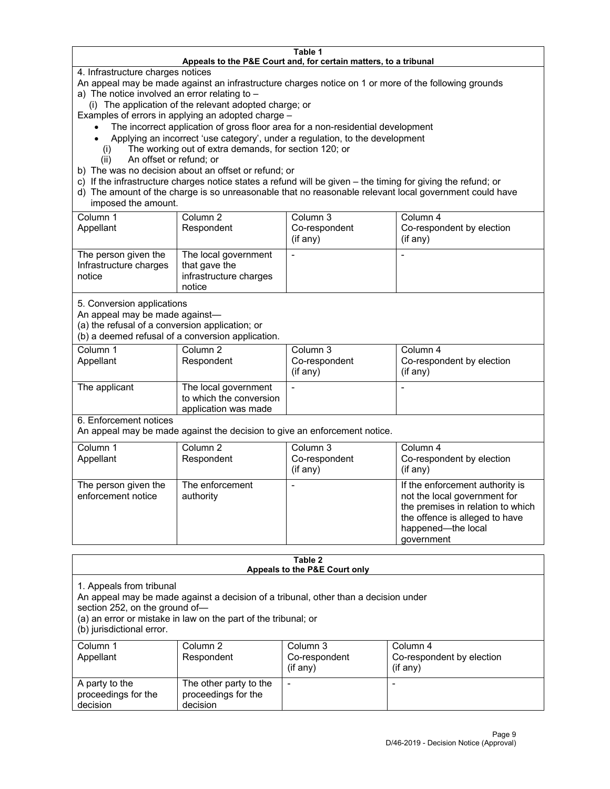#### **Table 1 Appeals to the P&E Court and, for certain matters, to a tribunal**

4. Infrastructure charges notices

An appeal may be made against an infrastructure charges notice on 1 or more of the following grounds

- a) The notice involved an error relating to
	- (i) The application of the relevant adopted charge; or

Examples of errors in applying an adopted charge –

- The incorrect application of gross floor area for a non-residential development
- Applying an incorrect 'use category', under a regulation, to the development
- (i) The working out of extra demands, for section 120; or
- (ii) An offset or refund; or
- b) The was no decision about an offset or refund; or
- c) If the infrastructure charges notice states a refund will be given the timing for giving the refund; or
- d) The amount of the charge is so unreasonable that no reasonable relevant local government could have imposed the amount.

| Column 1<br>Appellant                                    | Column 2<br>Respondent                                                    | Column 3<br>Co-respondent<br>(i f any) | Column 4<br>Co-respondent by election<br>(i f any) |
|----------------------------------------------------------|---------------------------------------------------------------------------|----------------------------------------|----------------------------------------------------|
| The person given the<br>Infrastructure charges<br>notice | The local government<br>that gave the<br>infrastructure charges<br>notice |                                        |                                                    |

5. Conversion applications

An appeal may be made against—

(a) the refusal of a conversion application; or

(b) a deemed refusal of a conversion application.

| Column 1      | Column 2                                        | Column 3      | Column 4                  |
|---------------|-------------------------------------------------|---------------|---------------------------|
| Appellant     | Respondent                                      | Co-respondent | Co-respondent by election |
|               |                                                 | $(if$ any)    | (i f any)                 |
| The applicant | The local government<br>to which the conversion |               |                           |
|               | application was made                            |               |                           |

6. Enforcement notices

An appeal may be made against the decision to give an enforcement notice.

| Column 1<br>Appellant                      | Column 2<br>Respondent       | Column 3<br>Co-respondent<br>(if any) | Column 4<br>Co-respondent by election<br>(if any)                                                                                                                          |
|--------------------------------------------|------------------------------|---------------------------------------|----------------------------------------------------------------------------------------------------------------------------------------------------------------------------|
| The person given the<br>enforcement notice | The enforcement<br>authority |                                       | If the enforcement authority is<br>not the local government for<br>the premises in relation to which<br>the offence is alleged to have<br>happened-the local<br>government |

#### **Table 2 Appeals to the P&E Court only**

1. Appeals from tribunal

An appeal may be made against a decision of a tribunal, other than a decision under

section 252, on the ground of—

(a) an error or mistake in law on the part of the tribunal; or

(b) jurisdictional error.

| Column 1<br>Appellant                             | Column 2<br>Respondent                                    | Column 3<br>Co-respondent<br>$($ if any $)$ | Column 4<br>Co-respondent by election<br>$(if$ any) |
|---------------------------------------------------|-----------------------------------------------------------|---------------------------------------------|-----------------------------------------------------|
| A party to the<br>proceedings for the<br>decision | The other party to the<br>proceedings for the<br>decision | -                                           |                                                     |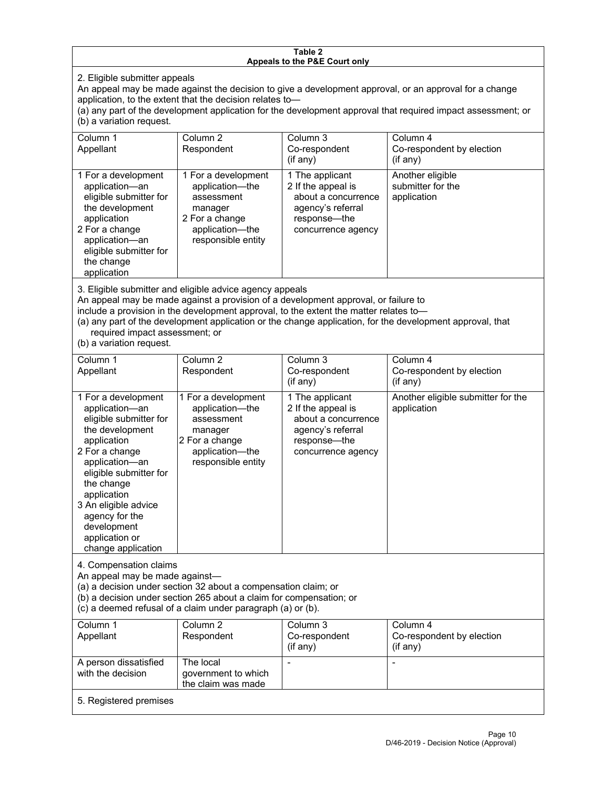#### **Table 2 Appeals to the P&E Court only**

2. Eligible submitter appeals

An appeal may be made against the decision to give a development approval, or an approval for a change application, to the extent that the decision relates to—

(a) any part of the development application for the development approval that required impact assessment; or (b) a variation request.

| Column 1<br>Appellant                                                                                                                                                                        | Column <sub>2</sub><br>Respondent                                                                                          | Column 3<br>Co-respondent<br>(i f any)                                                                                  | Column 4<br>Co-respondent by election<br>(if any)    |
|----------------------------------------------------------------------------------------------------------------------------------------------------------------------------------------------|----------------------------------------------------------------------------------------------------------------------------|-------------------------------------------------------------------------------------------------------------------------|------------------------------------------------------|
| 1 For a development<br>application-an<br>eligible submitter for<br>the development<br>application<br>2 For a change<br>application-an<br>eligible submitter for<br>the change<br>application | 1 For a development<br>application-the<br>assessment<br>manager<br>2 For a change<br>application-the<br>responsible entity | 1 The applicant<br>2 If the appeal is<br>about a concurrence<br>agency's referral<br>response—the<br>concurrence agency | Another eligible<br>submitter for the<br>application |

3. Eligible submitter and eligible advice agency appeals

An appeal may be made against a provision of a development approval, or failure to

include a provision in the development approval, to the extent the matter relates to—

(a) any part of the development application or the change application, for the development approval, that required impact assessment; or

(b) a variation request.

| Column <sub>1</sub><br>Appellant                                                                                                                                                                                                                                                              | Column <sub>2</sub><br>Respondent                                                                                          | Column <sub>3</sub><br>Co-respondent<br>(if any)                                                                        | Column 4<br>Co-respondent by election<br>$($ if any $)$ |
|-----------------------------------------------------------------------------------------------------------------------------------------------------------------------------------------------------------------------------------------------------------------------------------------------|----------------------------------------------------------------------------------------------------------------------------|-------------------------------------------------------------------------------------------------------------------------|---------------------------------------------------------|
| 1 For a development<br>application-an<br>eligible submitter for<br>the development<br>application<br>2 For a change<br>application-an<br>eligible submitter for<br>the change<br>application<br>3 An eligible advice<br>agency for the<br>development<br>application or<br>change application | 1 For a development<br>application-the<br>assessment<br>manager<br>2 For a change<br>application-the<br>responsible entity | 1 The applicant<br>2 If the appeal is<br>about a concurrence<br>agency's referral<br>response-the<br>concurrence agency | Another eligible submitter for the<br>application       |
| 4. Compensation claims<br>An appeal may be made against-<br>(a) a decision under section 32 about a compensation claim; or<br>(b) a decision under section 265 about a claim for compensation; or<br>(c) a deemed refusal of a claim under paragraph (a) or (b).                              |                                                                                                                            |                                                                                                                         |                                                         |
| Column 1<br>Appellant                                                                                                                                                                                                                                                                         | Column <sub>2</sub><br>Respondent                                                                                          | Column <sub>3</sub><br>Co-respondent<br>(if any)                                                                        | Column 4<br>Co-respondent by election<br>(if any)       |
| A person dissatisfied<br>with the decision                                                                                                                                                                                                                                                    | The local<br>government to which<br>the claim was made                                                                     |                                                                                                                         |                                                         |
| 5. Registered premises                                                                                                                                                                                                                                                                        |                                                                                                                            |                                                                                                                         |                                                         |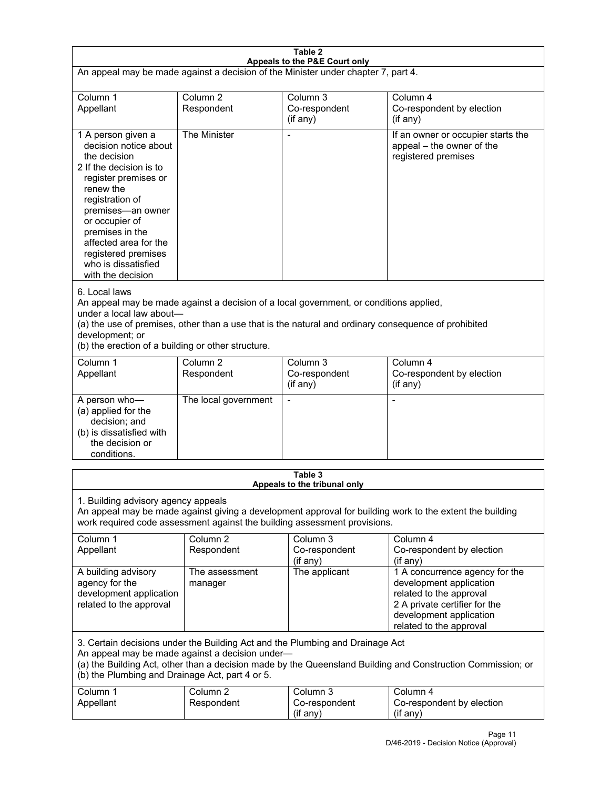| Table 2<br>Appeals to the P&E Court only                                                                                                                                                                                                                                                                             |                                   |                                                  |                                                                                                                                                                             |  |
|----------------------------------------------------------------------------------------------------------------------------------------------------------------------------------------------------------------------------------------------------------------------------------------------------------------------|-----------------------------------|--------------------------------------------------|-----------------------------------------------------------------------------------------------------------------------------------------------------------------------------|--|
| An appeal may be made against a decision of the Minister under chapter 7, part 4.                                                                                                                                                                                                                                    |                                   |                                                  |                                                                                                                                                                             |  |
| Column 1<br>Appellant                                                                                                                                                                                                                                                                                                | Column <sub>2</sub><br>Respondent | Column <sub>3</sub><br>Co-respondent<br>(if any) | Column 4<br>Co-respondent by election<br>(if any)                                                                                                                           |  |
| 1 A person given a<br>decision notice about<br>the decision<br>2 If the decision is to<br>register premises or<br>renew the<br>registration of<br>premises-an owner<br>or occupier of<br>premises in the<br>affected area for the<br>registered premises<br>who is dissatisfied<br>with the decision                 | The Minister                      | $\overline{a}$                                   | If an owner or occupier starts the<br>appeal - the owner of the<br>registered premises                                                                                      |  |
| 6. Local laws<br>An appeal may be made against a decision of a local government, or conditions applied,<br>under a local law about-<br>(a) the use of premises, other than a use that is the natural and ordinary consequence of prohibited<br>development; or<br>(b) the erection of a building or other structure. |                                   |                                                  |                                                                                                                                                                             |  |
| Column 1<br>Appellant                                                                                                                                                                                                                                                                                                | Column <sub>2</sub><br>Respondent | Column <sub>3</sub><br>Co-respondent<br>(if any) | Column 4<br>Co-respondent by election<br>(if any)                                                                                                                           |  |
| A person who-<br>(a) applied for the<br>decision; and<br>(b) is dissatisfied with<br>the decision or<br>conditions.                                                                                                                                                                                                  | The local government              | L,                                               | $\overline{a}$                                                                                                                                                              |  |
|                                                                                                                                                                                                                                                                                                                      |                                   | Table 3<br>Appeals to the tribunal only          |                                                                                                                                                                             |  |
| 1. Building advisory agency appeals<br>An appeal may be made against giving a development approval for building work to the extent the building<br>work required code assessment against the building assessment provisions.                                                                                         |                                   |                                                  |                                                                                                                                                                             |  |
| Column 1<br>Appellant                                                                                                                                                                                                                                                                                                | Column <sub>2</sub><br>Respondent | Column 3<br>Co-respondent<br>(if any)            | Column 4<br>Co-respondent by election<br>(if any)                                                                                                                           |  |
| A building advisory<br>agency for the<br>development application<br>related to the approval                                                                                                                                                                                                                          | The assessment<br>manager         | The applicant                                    | 1 A concurrence agency for the<br>development application<br>related to the approval<br>2 A private certifier for the<br>development application<br>related to the approval |  |
| 3. Certain decisions under the Building Act and the Plumbing and Drainage Act<br>An appeal may be made against a decision under-<br>(a) the Building Act, other than a decision made by the Queensland Building and Construction Commission; or<br>(b) the Plumbing and Drainage Act, part 4 or 5.                   |                                   |                                                  |                                                                                                                                                                             |  |
| Column 1<br>Appellant                                                                                                                                                                                                                                                                                                | Column <sub>2</sub><br>Respondent | Column 3<br>Co-respondent<br>(if any)            | Column 4<br>Co-respondent by election<br>(if any)                                                                                                                           |  |